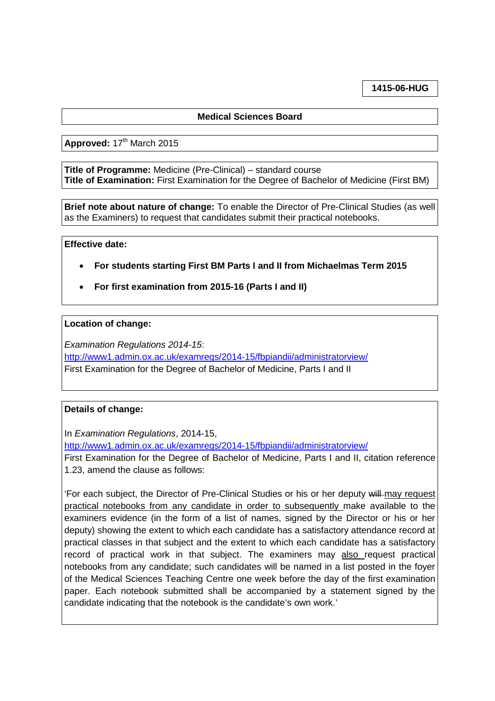**1415-06-HUG**

# **Medical Sciences Board**

Approved: 17<sup>th</sup> March 2015

**Title of Programme:** Medicine (Pre-Clinical) – standard course **Title of Examination:** First Examination for the Degree of Bachelor of Medicine (First BM)

**Brief note about nature of change:** To enable the Director of Pre-Clinical Studies (as well as the Examiners) to request that candidates submit their practical notebooks.

#### **Effective date:**

- **For students starting First BM Parts I and II from Michaelmas Term 2015**
- **For first examination from 2015-16 (Parts I and II)**

## **Location of change:**

*Examination Regulations 2014-15*:

<http://www1.admin.ox.ac.uk/examregs/2014-15/fbpiandii/administratorview/> First Examination for the Degree of Bachelor of Medicine, Parts I and II

## **Details of change:**

In *Examination Regulations*, 2014-15,

<http://www1.admin.ox.ac.uk/examregs/2014-15/fbpiandii/administratorview/>

First Examination for the Degree of Bachelor of Medicine, Parts I and II, citation reference 1.23, amend the clause as follows:

'For each subject, the Director of Pre-Clinical Studies or his or her deputy will may request practical notebooks from any candidate in order to subsequently make available to the examiners evidence (in the form of a list of names, signed by the Director or his or her deputy) showing the extent to which each candidate has a satisfactory attendance record at practical classes in that subject and the extent to which each candidate has a satisfactory record of practical work in that subject. The examiners may also request practical notebooks from any candidate; such candidates will be named in a list posted in the foyer of the Medical Sciences Teaching Centre one week before the day of the first examination paper. Each notebook submitted shall be accompanied by a statement signed by the candidate indicating that the notebook is the candidate's own work.'